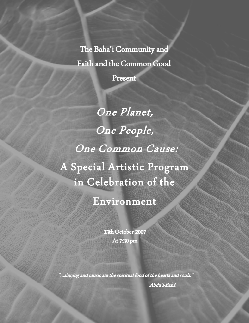The Baha'i Community and Faith and the Common Good

Present

One Planet, One People, One Common Cause: A Special Artistic Program in Celebration of the

Environment

13th October 2007 At 7:30 pm

"...singing and music are the spiritual food of the hearts and souls." Abdu'l-Bahá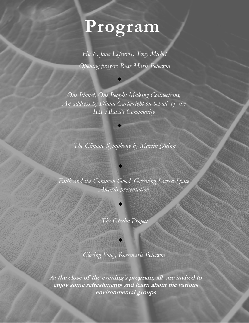## **Program**

*Hosts: Jane Lefeuvre, Tony Michel Opening prayer: Rose Marie Peterson*

*One Planet, One People: Making Connections, An address by Diana Cartwright on behalf of the IEF/Bahá'í Community*

*The Climate Symphony by Martin Quinn*

*Faith and the Common Good, Greening Sacred Space Awards presentation*

*The Otesha Project*

*Closing Song, Rosemarie Peterson*

**At the close of the evening's program, all are invited to enjoy some refreshments and learn about the various environmental groups**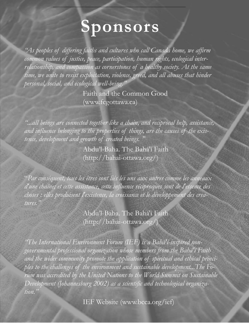# **Sponsors**

*"As peoples of differing faiths and cultures who call Canada home, we affirm common values of justice, peace, participation, human rights, ecological interrelationship, and compassion as cornerstones of a healthy society. At the same*  time, we unite to resist exploitation, violence, greed, and all abuses that hinder *personal, social, and ecological well-being."* 

> Faith and the Common Good (www.fcgottawa.ca)

*"...all beings are connected together like a chain, and reciprocal help, assistance, and influence belonging to the properties of things, are the causes of the existence, development and growth of created beings. "*

> Abdu'l-Baha. The Bahá'í Faith (http://bahai-ottawa.org/)

"*Par conséquent, tous les êtres sont liés les uns aux autres comme les anneaux d'une chaîne; et cette assistance, cette influence réciproques sont de l'essence des choses : elles produisent l'existence, la croissance et le développement des creatures."*

> Abdu'l-Baha. The Bahá'í Faith (http://bahai-ottawa.org/)

*"The International Environment Forum (IEF) is a Bahá'í-inspired nongovernmental professional organization whose members from the [Bahá'í Faith](http://www.bcca.org/ief/bahai.htm) and the wider community promote the application of spiritual and ethical principles to the challenges of the environment and sustainable development...The Forum was accredited by the United Nations to the World Summit on Sustainable Development (Johannesburg 2002) as a scientific and technological organization."* 

IEF Website (www.bcca.org/ief)